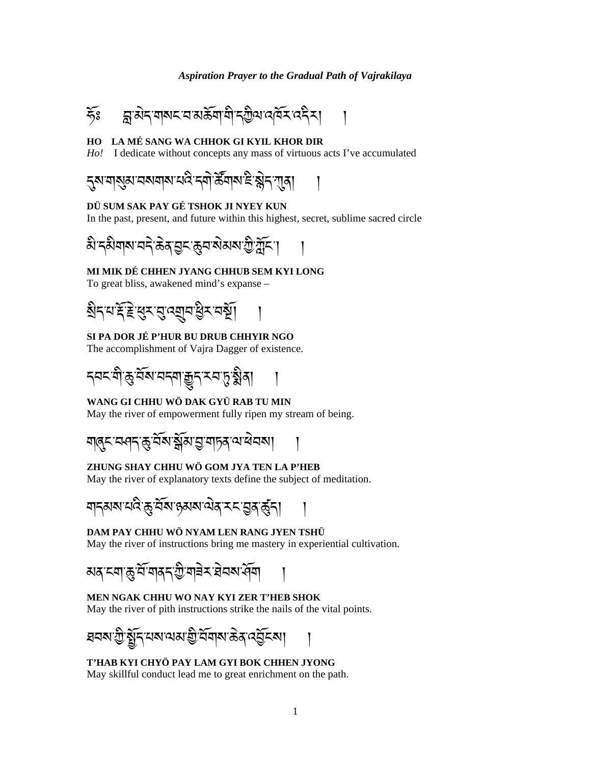

### HO LA MÉ SANG WA CHHOK GI KYIL KHOR DIR

Ho! I dedicate without concepts any mass of virtuous acts I've accumulated



### DÜ SUM SAK PAY GÉ TSHOK JI NYEY KUN

In the past, present, and future within this highest, secret, sublime sacred circle

### MI MIK DÉ CHHEN JYANG CHHUB SEM KYI LONG

To great bliss, awakened mind's expanse -

# SI PA DOR JÉ P'HUR BU DRUB CHHYIR NGO

The accomplishment of Vajra Dagger of existence.

# WANG GI CHHU WÖ DAK GYÜ RAB TU MIN

May the river of empowerment fully ripen my stream of being.

# ZHUNG SHAY CHHU WÖ GOM JYA TEN LA P'HEB

May the river of explanatory texts define the subject of meditation.

# DAM PAY CHHU WÖ NYAM LEN RANG JYEN TSHÜ

May the river of instructions bring me mastery in experiential cultivation.

# MEN NGAK CHHU WO NAY KYI ZER T'HEB SHOK

May the river of pith instructions strike the nails of the vital points.

#### T'HAB KYI CHYÖ PAY LAM GYI BOK CHHEN JYONG

May skillful conduct lead me to great enrichment on the path.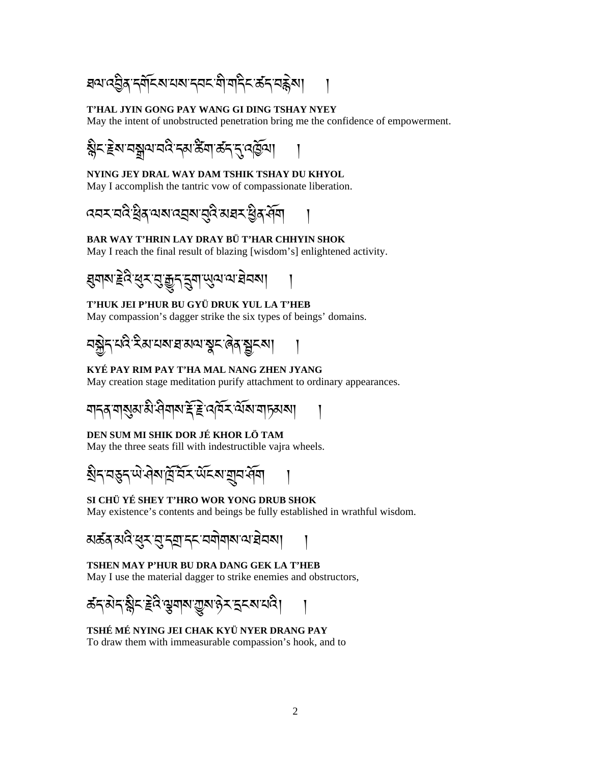য়ঀয়৻য়ৣ৾ঀৼয়ৄৼৄৼৢৼয়ৼ৸৸৸৸ৼ৸৸ৼ৸ৼ৸ৼ৸ৼ

#### T'HAL JYIN GONG PAY WANG GI DING TSHAY NYEY

May the intent of unobstructed penetration bring me the confidence of empowerment.

ৡ৴৾৾ঽয়ৼৠয়ৼড়ৢৼয়ড়ৢয়৸ড়ৼৼৼঢ়ড়

# NYING JEY DRAL WAY DAM TSHIK TSHAY DU KHYOL

May I accomplish the tantric vow of compassionate liberation.

*෬*෬ৼ*෬*ৼৢয়ৼ৻৸৶ৼ৻ৼয়৸ৼঢ়৻ৼৢ৻ৼ৻ড়৸

# BAR WAY T'HRIN LAY DRAY BÜ T'HAR CHHYIN SHOK

May I reach the final result of blazing [wisdom's] enlightened activity.

# T'HUK JEI P'HUR BU GYÜ DRUK YUL LA T'HEB

May compassion's dagger strike the six types of beings' domains.

*བ*ଵୖॢॸॱय़दिॱঽয়ॱय़ॺॱয়ॱয়৽য়৾ৼৢৄৼ৾৻ঀ৾৾য়ৼৣয়ৼয়

### KYÉ PAY RIM PAY T'HA MAL NANG ZHEN JYANG

May creation stage meditation purify attachment to ordinary appearances.

### DEN SUM MI SHIK DOR JÉ KHOR LÖ TAM

May the three seats fill with indestructible vajra wheels.

য়ৢৼৼঀৼয়৻৸৻৸৻য়৻য়৻য়৻৸ৼ৸ৼঢ়ঢ়৸

# SI CHÜ YÉ SHEY T'HRO WOR YONG DRUB SHOK

May existence's contents and beings be fully established in wrathful wisdom.

#### TSHEN MAY P'HUR BU DRA DANG GEK LA T'HEB

May I use the material dagger to strike enemies and obstructors,

# TSHÉ MÉ NYING JEI CHAK KYÜ NYER DRANG PAY

To draw them with immeasurable compassion's hook, and to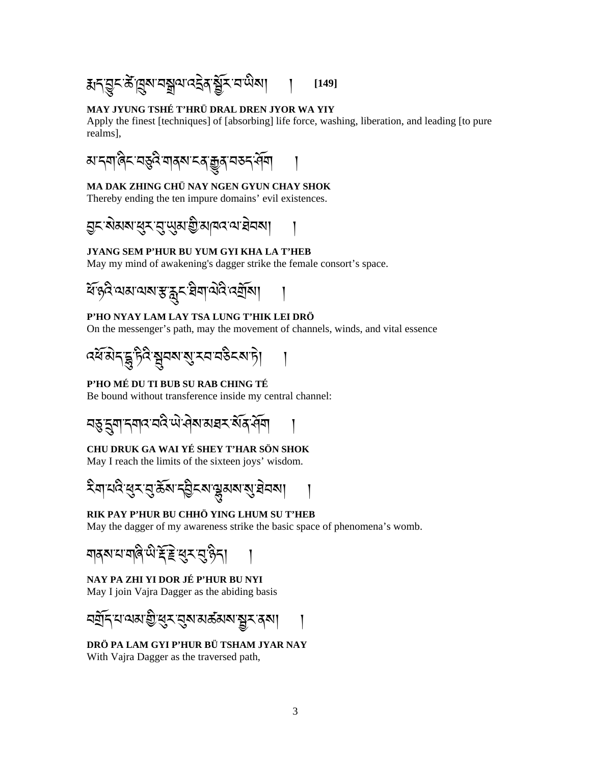### MAY JYUNG TSHÉ T'HRÜ DRAL DREN JYOR WA YIY

Apply the finest [techniques] of [absorbing] life force, washing, liberation, and leading [to pure realms],

*ॺ*ॱॸॺॱऄॎड़<sup></sup>य़ख़ढ़ऄॴॺॺॱॸॺॱक़ॗॺॱॺॾॸॱॷॕॺ

# MA DAK ZHING CHÜ NAY NGEN GYUN CHAY SHOK

Thereby ending the ten impure domains' evil existences.

#### JYANG SEM P'HUR BU YUM GYI KHA LA T'HEB

May my mind of awakening's dagger strike the female consort's space.

#### P'HO NYAY LAM LAY TSA LUNG T'HIK LEI DRÖ

On the messenger's path, may the movement of channels, winds, and vital essence

$$
\mathfrak{F}(\widehat{\mathcal{A}})\mathfrak{F}(\widehat{\mathcal{B}})\mathfrak{F}(\widehat{\mathcal{B}})\mathfrak{F}(\widehat{\mathcal{B}})\mathfrak{F}(\widehat{\mathcal{B}})\mathfrak{F}(\widehat{\mathcal{B}})\mathfrak{F}(\widehat{\mathcal{B}})
$$

#### P'HO MÉ DU TI BUB SU RAB CHING TÉ

Be bound without transference inside my central channel:

#### CHU DRUK GA WAI YÉ SHEY T'HAR SÖN SHOK

May I reach the limits of the sixteen joys' wisdom.

#### RIK PAY P'HUR BU CHHÖ YING LHUM SU T'HEB

May the dagger of my awareness strike the basic space of phenomena's womb.

#### NAY PA ZHI YI DOR JÉ P'HUR BU NYI

May I join Vajra Dagger as the abiding basis

DRÖ PA LAM GYI P'HUR BÜ TSHAM JYAR NAY With Vajra Dagger as the traversed path,